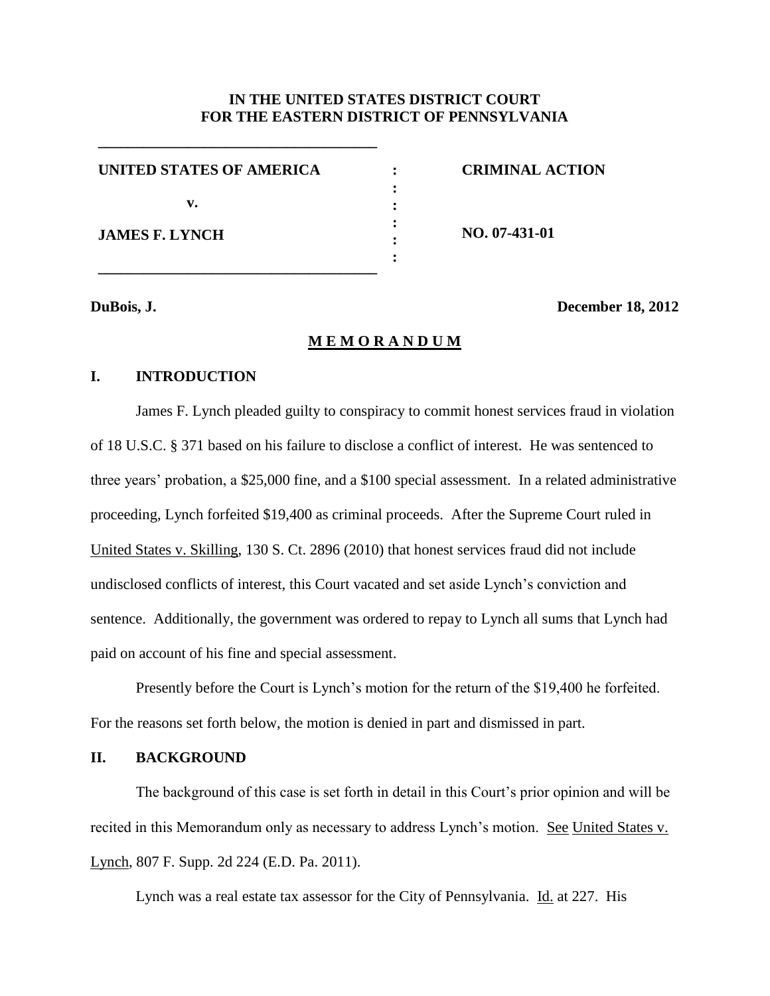## **IN THE UNITED STATES DISTRICT COURT FOR THE EASTERN DISTRICT OF PENNSYLVANIA**

| UNITED STATES OF AMERICA |  |
|--------------------------|--|
|                          |  |
| v.                       |  |
| <b>JAMES F. LYNCH</b>    |  |
|                          |  |
|                          |  |

**\_\_\_\_\_\_\_\_\_\_\_\_\_\_\_\_\_\_\_\_\_\_\_\_\_\_\_\_\_\_\_\_\_\_\_\_\_**

**\_\_\_\_\_\_\_\_\_\_\_\_\_\_\_\_\_\_\_\_\_\_\_\_\_\_\_\_\_\_\_\_\_\_\_\_\_**

**CRIMINAL ACTION**

**NO. 07-431-01**

**DuBois, J. December 18, 2012**

### **M E M O R A N D U M**

## **I. INTRODUCTION**

James F. Lynch pleaded guilty to conspiracy to commit honest services fraud in violation of 18 U.S.C. § 371 based on his failure to disclose a conflict of interest. He was sentenced to three years' probation, a \$25,000 fine, and a \$100 special assessment. In a related administrative proceeding, Lynch forfeited \$19,400 as criminal proceeds. After the Supreme Court ruled in United States v. Skilling, 130 S. Ct. 2896 (2010) that honest services fraud did not include undisclosed conflicts of interest, this Court vacated and set aside Lynch's conviction and sentence. Additionally, the government was ordered to repay to Lynch all sums that Lynch had paid on account of his fine and special assessment.

Presently before the Court is Lynch's motion for the return of the \$19,400 he forfeited. For the reasons set forth below, the motion is denied in part and dismissed in part.

## **II. BACKGROUND**

The background of this case is set forth in detail in this Court's prior opinion and will be recited in this Memorandum only as necessary to address Lynch's motion. See United States v. Lynch, 807 F. Supp. 2d 224 (E.D. Pa. 2011).

Lynch was a real estate tax assessor for the City of Pennsylvania. Id. at 227. His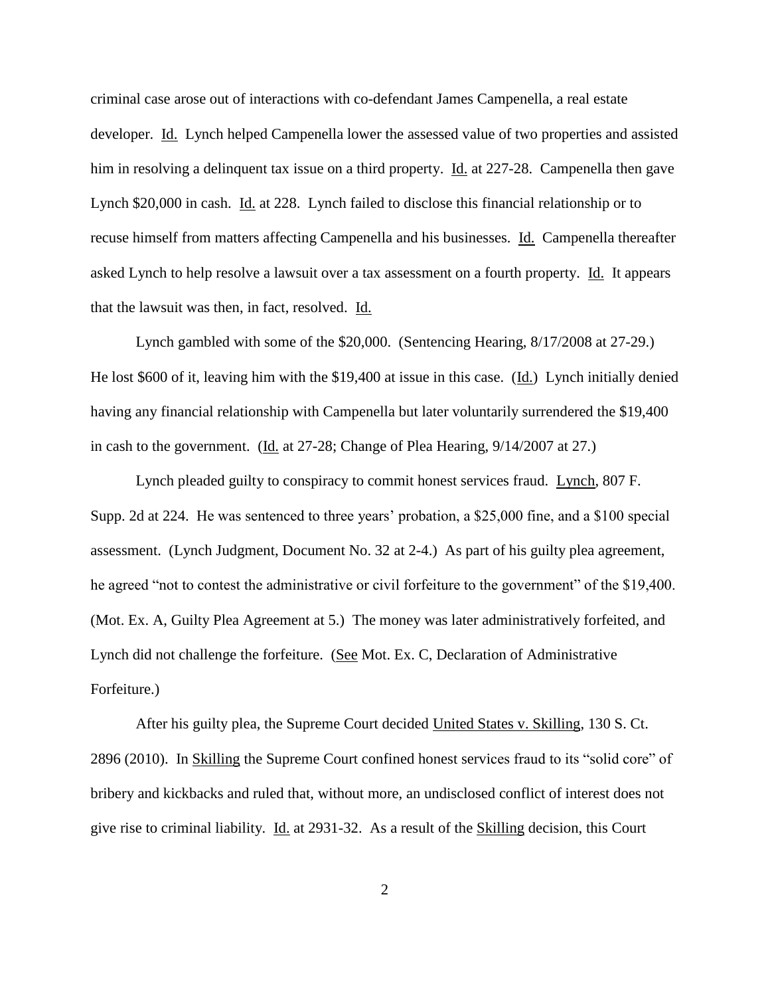criminal case arose out of interactions with co-defendant James Campenella, a real estate developer. Id. Lynch helped Campenella lower the assessed value of two properties and assisted him in resolving a delinquent tax issue on a third property. Id. at 227-28. Campenella then gave Lynch \$20,000 in cash. Id. at 228. Lynch failed to disclose this financial relationship or to recuse himself from matters affecting Campenella and his businesses. Id. Campenella thereafter asked Lynch to help resolve a lawsuit over a tax assessment on a fourth property. Id. It appears that the lawsuit was then, in fact, resolved. Id.

Lynch gambled with some of the \$20,000. (Sentencing Hearing, 8/17/2008 at 27-29.) He lost \$600 of it, leaving him with the \$19,400 at issue in this case. (Id.) Lynch initially denied having any financial relationship with Campenella but later voluntarily surrendered the \$19,400 in cash to the government. (Id. at 27-28; Change of Plea Hearing, 9/14/2007 at 27.)

Lynch pleaded guilty to conspiracy to commit honest services fraud. Lynch, 807 F. Supp. 2d at 224. He was sentenced to three years' probation, a \$25,000 fine, and a \$100 special assessment. (Lynch Judgment, Document No. 32 at 2-4.) As part of his guilty plea agreement, he agreed "not to contest the administrative or civil forfeiture to the government" of the \$19,400. (Mot. Ex. A, Guilty Plea Agreement at 5.) The money was later administratively forfeited, and Lynch did not challenge the forfeiture. (See Mot. Ex. C, Declaration of Administrative Forfeiture.)

After his guilty plea, the Supreme Court decided United States v. Skilling, 130 S. Ct. 2896 (2010). In Skilling the Supreme Court confined honest services fraud to its "solid core" of bribery and kickbacks and ruled that, without more, an undisclosed conflict of interest does not give rise to criminal liability. Id. at 2931-32. As a result of the Skilling decision, this Court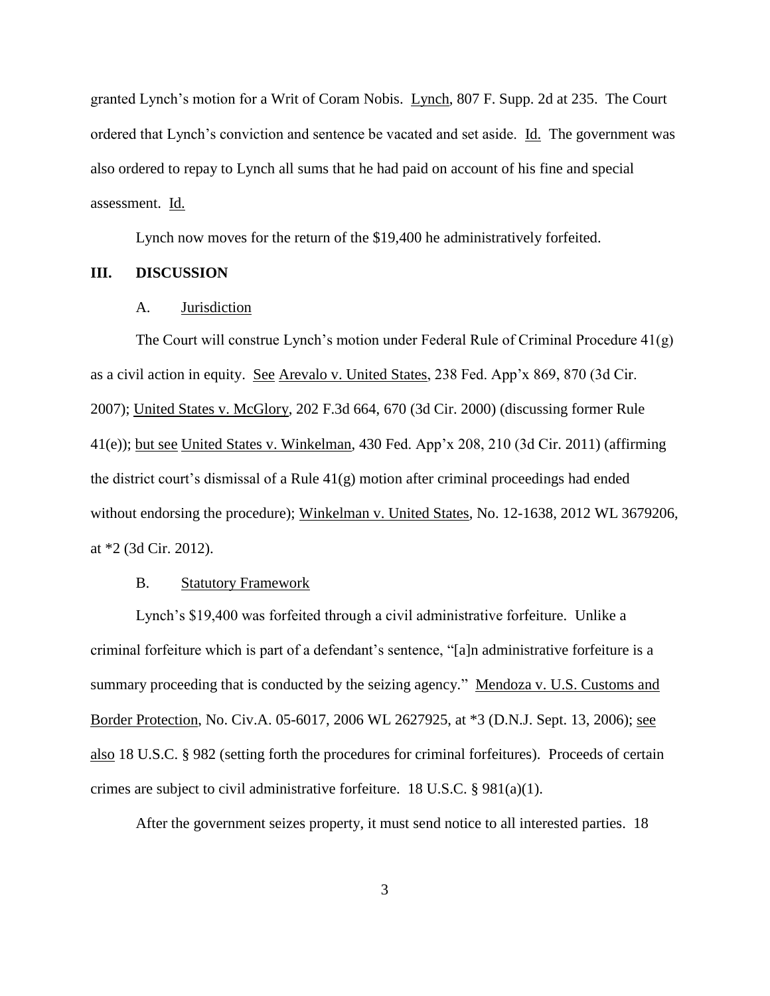granted Lynch's motion for a Writ of Coram Nobis. Lynch, 807 F. Supp. 2d at 235. The Court ordered that Lynch's conviction and sentence be vacated and set aside. Id. The government was also ordered to repay to Lynch all sums that he had paid on account of his fine and special assessment. Id.

Lynch now moves for the return of the \$19,400 he administratively forfeited.

#### **III. DISCUSSION**

#### A. Jurisdiction

The Court will construe Lynch's motion under Federal Rule of Criminal Procedure 41(g) as a civil action in equity. See Arevalo v. United States, 238 Fed. App'x 869, 870 (3d Cir. 2007); United States v. McGlory, 202 F.3d 664, 670 (3d Cir. 2000) (discussing former Rule 41(e)); but see United States v. Winkelman, 430 Fed. App'x 208, 210 (3d Cir. 2011) (affirming the district court's dismissal of a Rule  $41(g)$  motion after criminal proceedings had ended without endorsing the procedure); Winkelman v. United States, No. 12-1638, 2012 WL 3679206, at \*2 (3d Cir. 2012).

#### B. Statutory Framework

Lynch's \$19,400 was forfeited through a civil administrative forfeiture. Unlike a criminal forfeiture which is part of a defendant's sentence, "[a]n administrative forfeiture is a summary proceeding that is conducted by the seizing agency." Mendoza v. U.S. Customs and Border Protection, No. Civ.A. 05-6017, 2006 WL 2627925, at \*3 (D.N.J. Sept. 13, 2006); see also 18 U.S.C. § 982 (setting forth the procedures for criminal forfeitures). Proceeds of certain crimes are subject to civil administrative forfeiture. 18 U.S.C. § 981(a)(1).

After the government seizes property, it must send notice to all interested parties. 18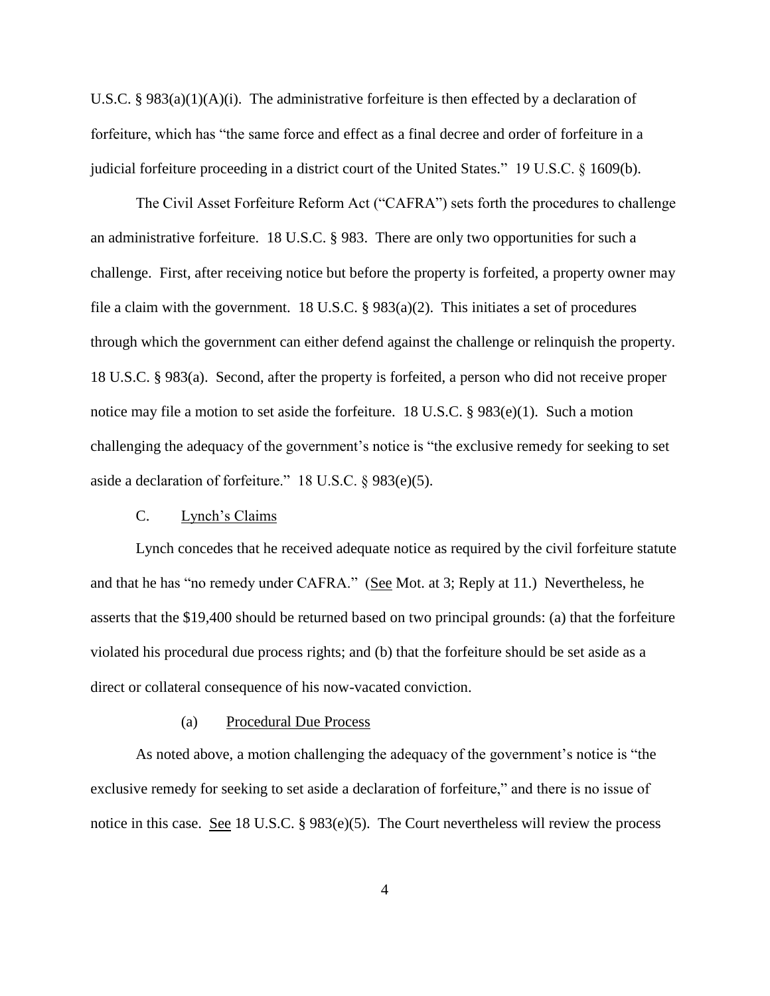U.S.C. §  $983(a)(1)(A)(i)$ . The administrative forfeiture is then effected by a declaration of forfeiture, which has "the same force and effect as a final decree and order of forfeiture in a judicial forfeiture proceeding in a district court of the United States." 19 U.S.C. § 1609(b).

The Civil Asset Forfeiture Reform Act ("CAFRA") sets forth the procedures to challenge an administrative forfeiture. 18 U.S.C. § 983. There are only two opportunities for such a challenge. First, after receiving notice but before the property is forfeited, a property owner may file a claim with the government. 18 U.S.C.  $\S$  983(a)(2). This initiates a set of procedures through which the government can either defend against the challenge or relinquish the property. 18 U.S.C. § 983(a). Second, after the property is forfeited, a person who did not receive proper notice may file a motion to set aside the forfeiture. 18 U.S.C. § 983(e)(1). Such a motion challenging the adequacy of the government's notice is "the exclusive remedy for seeking to set aside a declaration of forfeiture." 18 U.S.C. § 983(e)(5).

## C. Lynch's Claims

Lynch concedes that he received adequate notice as required by the civil forfeiture statute and that he has "no remedy under CAFRA." (See Mot. at 3; Reply at 11.) Nevertheless, he asserts that the \$19,400 should be returned based on two principal grounds: (a) that the forfeiture violated his procedural due process rights; and (b) that the forfeiture should be set aside as a direct or collateral consequence of his now-vacated conviction.

#### (a) Procedural Due Process

As noted above, a motion challenging the adequacy of the government's notice is "the exclusive remedy for seeking to set aside a declaration of forfeiture," and there is no issue of notice in this case. See 18 U.S.C. § 983(e)(5). The Court nevertheless will review the process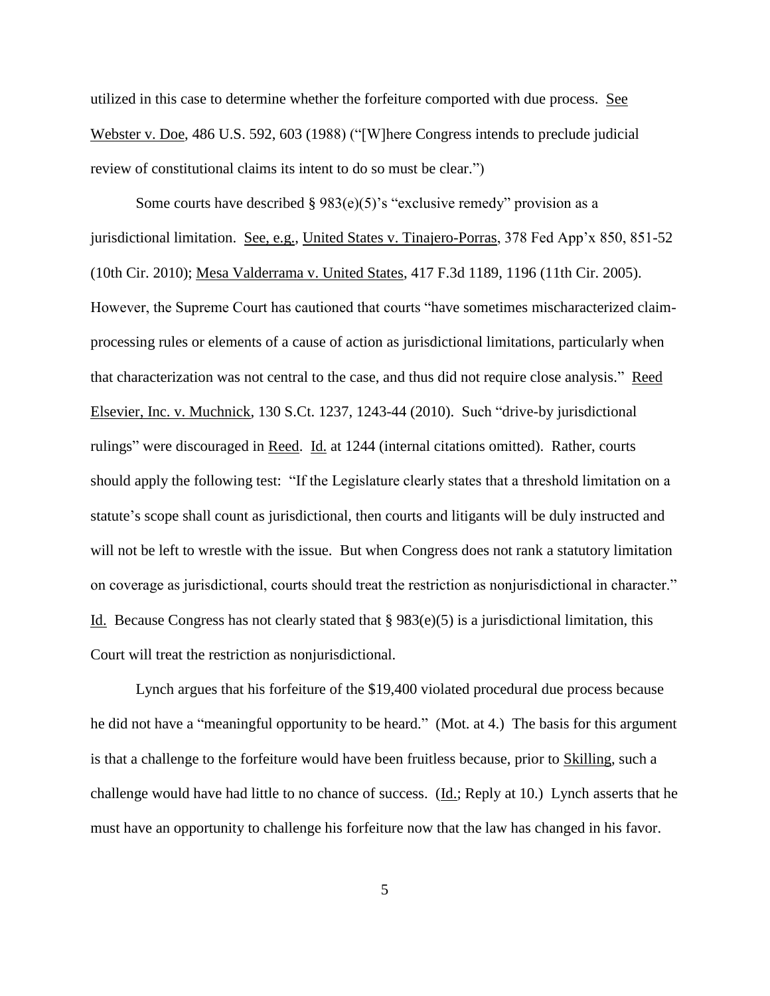utilized in this case to determine whether the forfeiture comported with due process. See Webster v. Doe, 486 U.S. 592, 603 (1988) ("[W]here Congress intends to preclude judicial review of constitutional claims its intent to do so must be clear.")

Some courts have described § 983(e)(5)'s "exclusive remedy" provision as a jurisdictional limitation. See, e.g., United States v. Tinajero-Porras, 378 Fed App'x 850, 851-52 (10th Cir. 2010); Mesa Valderrama v. United States, 417 F.3d 1189, 1196 (11th Cir. 2005). However, the Supreme Court has cautioned that courts "have sometimes mischaracterized claimprocessing rules or elements of a cause of action as jurisdictional limitations, particularly when that characterization was not central to the case, and thus did not require close analysis." Reed Elsevier, Inc. v. Muchnick, 130 S.Ct. 1237, 1243-44 (2010). Such "drive-by jurisdictional rulings" were discouraged in Reed. Id. at 1244 (internal citations omitted). Rather, courts should apply the following test: "If the Legislature clearly states that a threshold limitation on a statute's scope shall count as jurisdictional, then courts and litigants will be duly instructed and will not be left to wrestle with the issue. But when Congress does not rank a statutory limitation on coverage as jurisdictional, courts should treat the restriction as nonjurisdictional in character." Id. Because Congress has not clearly stated that  $\S 983(e)(5)$  is a jurisdictional limitation, this Court will treat the restriction as nonjurisdictional.

Lynch argues that his forfeiture of the \$19,400 violated procedural due process because he did not have a "meaningful opportunity to be heard." (Mot. at 4.) The basis for this argument is that a challenge to the forfeiture would have been fruitless because, prior to Skilling, such a challenge would have had little to no chance of success. (Id.; Reply at 10.) Lynch asserts that he must have an opportunity to challenge his forfeiture now that the law has changed in his favor.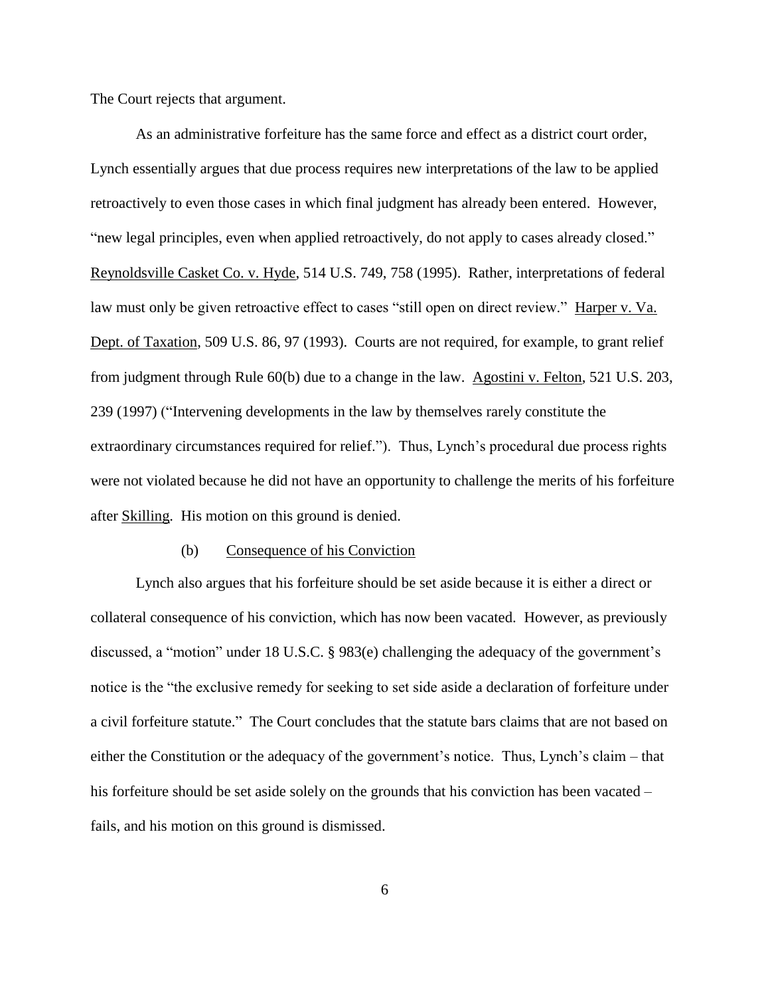The Court rejects that argument.

As an administrative forfeiture has the same force and effect as a district court order, Lynch essentially argues that due process requires new interpretations of the law to be applied retroactively to even those cases in which final judgment has already been entered. However, "new legal principles, even when applied retroactively, do not apply to cases already closed." Reynoldsville Casket Co. v. Hyde, 514 U.S. 749, 758 (1995). Rather, interpretations of federal law must only be given retroactive effect to cases "still open on direct review." Harper v. Va. Dept. of Taxation, 509 U.S. 86, 97 (1993). Courts are not required, for example, to grant relief from judgment through Rule 60(b) due to a change in the law. Agostini v. Felton, 521 U.S. 203, 239 (1997) ("Intervening developments in the law by themselves rarely constitute the extraordinary circumstances required for relief."). Thus, Lynch's procedural due process rights were not violated because he did not have an opportunity to challenge the merits of his forfeiture after Skilling. His motion on this ground is denied.

#### (b) Consequence of his Conviction

Lynch also argues that his forfeiture should be set aside because it is either a direct or collateral consequence of his conviction, which has now been vacated. However, as previously discussed, a "motion" under 18 U.S.C. § 983(e) challenging the adequacy of the government's notice is the "the exclusive remedy for seeking to set side aside a declaration of forfeiture under a civil forfeiture statute." The Court concludes that the statute bars claims that are not based on either the Constitution or the adequacy of the government's notice. Thus, Lynch's claim – that his forfeiture should be set aside solely on the grounds that his conviction has been vacated – fails, and his motion on this ground is dismissed.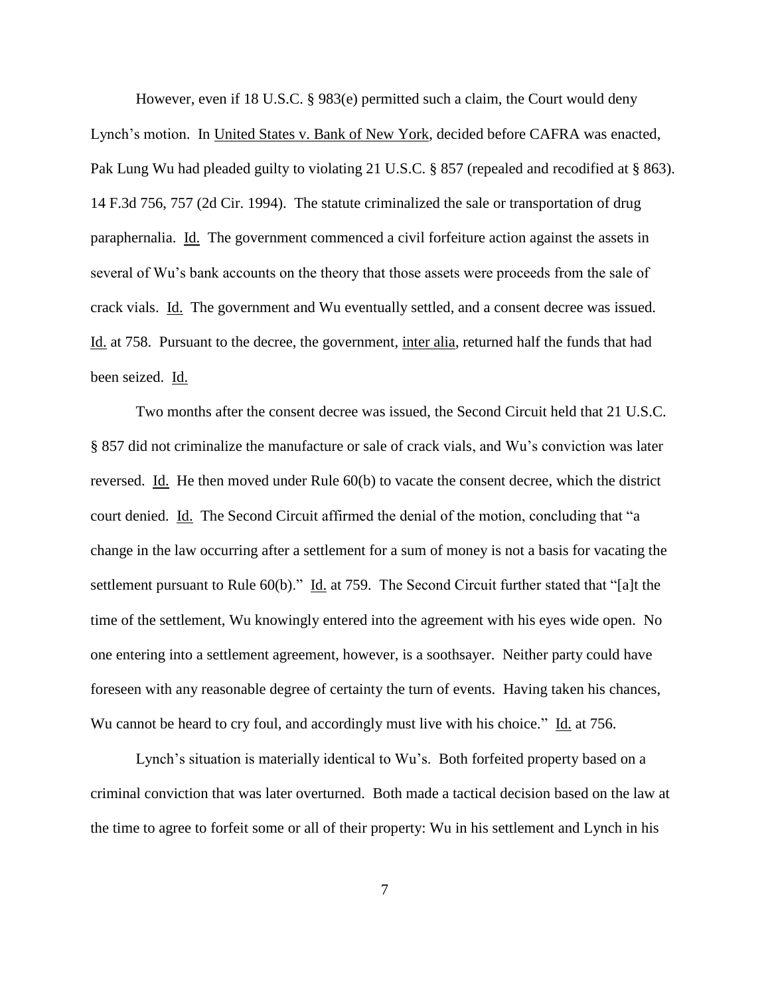However, even if 18 U.S.C. § 983(e) permitted such a claim, the Court would deny Lynch's motion. In United States v. Bank of New York, decided before CAFRA was enacted, Pak Lung Wu had pleaded guilty to violating 21 U.S.C. § 857 (repealed and recodified at § 863). 14 F.3d 756, 757 (2d Cir. 1994). The statute criminalized the sale or transportation of drug paraphernalia. Id. The government commenced a civil forfeiture action against the assets in several of Wu's bank accounts on the theory that those assets were proceeds from the sale of crack vials. Id. The government and Wu eventually settled, and a consent decree was issued. Id. at 758. Pursuant to the decree, the government, inter alia, returned half the funds that had been seized. Id.

Two months after the consent decree was issued, the Second Circuit held that 21 U.S.C. § 857 did not criminalize the manufacture or sale of crack vials, and Wu's conviction was later reversed. Id. He then moved under Rule 60(b) to vacate the consent decree, which the district court denied. Id. The Second Circuit affirmed the denial of the motion, concluding that "a change in the law occurring after a settlement for a sum of money is not a basis for vacating the settlement pursuant to Rule 60(b)." Id. at 759. The Second Circuit further stated that "[a]t the time of the settlement, Wu knowingly entered into the agreement with his eyes wide open. No one entering into a settlement agreement, however, is a soothsayer. Neither party could have foreseen with any reasonable degree of certainty the turn of events. Having taken his chances, Wu cannot be heard to cry foul, and accordingly must live with his choice." Id. at 756.

Lynch's situation is materially identical to Wu's. Both forfeited property based on a criminal conviction that was later overturned. Both made a tactical decision based on the law at the time to agree to forfeit some or all of their property: Wu in his settlement and Lynch in his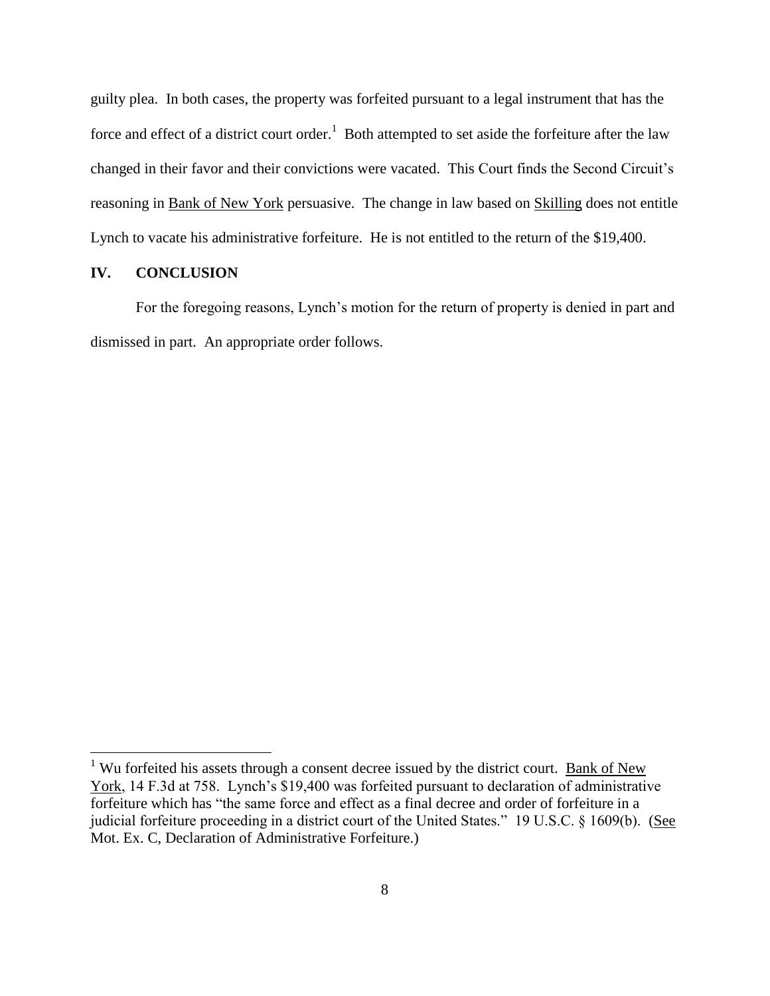guilty plea. In both cases, the property was forfeited pursuant to a legal instrument that has the force and effect of a district court order.<sup>1</sup> Both attempted to set aside the forfeiture after the law changed in their favor and their convictions were vacated. This Court finds the Second Circuit's reasoning in Bank of New York persuasive. The change in law based on Skilling does not entitle Lynch to vacate his administrative forfeiture. He is not entitled to the return of the \$19,400.

#### **IV. CONCLUSION**

 $\overline{a}$ 

For the foregoing reasons, Lynch's motion for the return of property is denied in part and dismissed in part. An appropriate order follows.

<sup>&</sup>lt;sup>1</sup> Wu forfeited his assets through a consent decree issued by the district court. Bank of New York, 14 F.3d at 758. Lynch's \$19,400 was forfeited pursuant to declaration of administrative forfeiture which has "the same force and effect as a final decree and order of forfeiture in a judicial forfeiture proceeding in a district court of the United States." 19 U.S.C. § 1609(b). (See Mot. Ex. C, Declaration of Administrative Forfeiture.)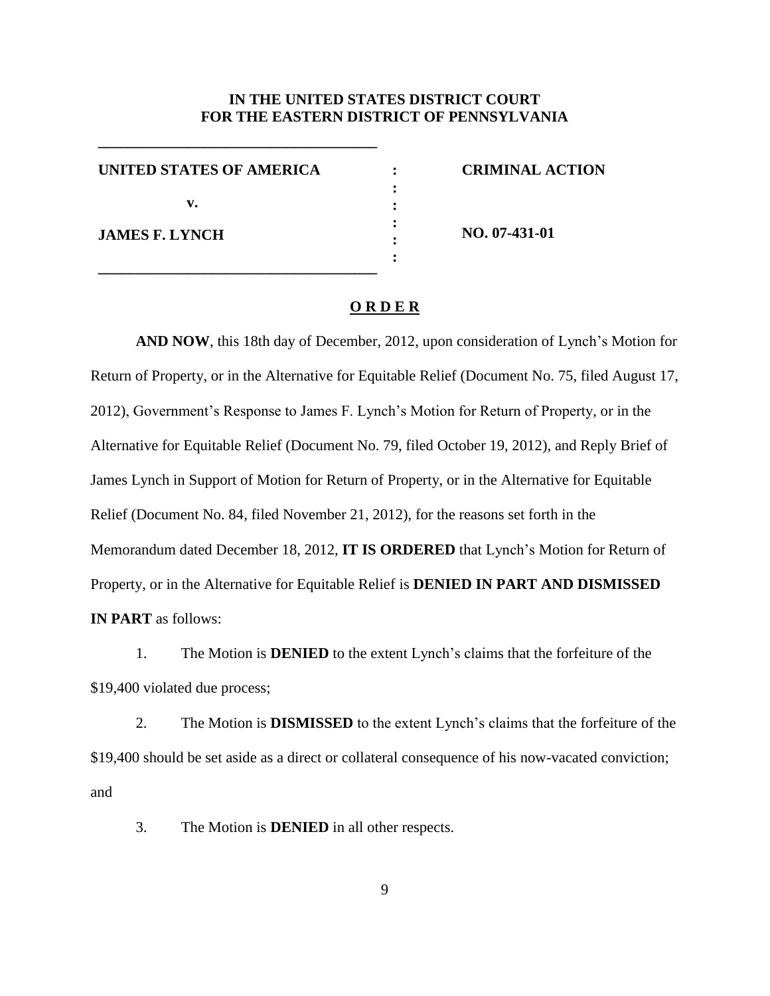## **IN THE UNITED STATES DISTRICT COURT FOR THE EASTERN DISTRICT OF PENNSYLVANIA**

**: : : : : :**

**UNITED STATES OF AMERICA v. JAMES F. LYNCH**

**\_\_\_\_\_\_\_\_\_\_\_\_\_\_\_\_\_\_\_\_\_\_\_\_\_\_\_\_\_\_\_\_\_\_\_\_\_**

**\_\_\_\_\_\_\_\_\_\_\_\_\_\_\_\_\_\_\_\_\_\_\_\_\_\_\_\_\_\_\_\_\_\_\_\_\_**

**CRIMINAL ACTION**

**NO. 07-431-01**

### **O R D E R**

**AND NOW**, this 18th day of December, 2012, upon consideration of Lynch's Motion for Return of Property, or in the Alternative for Equitable Relief (Document No. 75, filed August 17, 2012), Government's Response to James F. Lynch's Motion for Return of Property, or in the Alternative for Equitable Relief (Document No. 79, filed October 19, 2012), and Reply Brief of James Lynch in Support of Motion for Return of Property, or in the Alternative for Equitable Relief (Document No. 84, filed November 21, 2012), for the reasons set forth in the Memorandum dated December 18, 2012, **IT IS ORDERED** that Lynch's Motion for Return of Property, or in the Alternative for Equitable Relief is **DENIED IN PART AND DISMISSED IN PART** as follows:

1. The Motion is **DENIED** to the extent Lynch's claims that the forfeiture of the \$19,400 violated due process;

2. The Motion is **DISMISSED** to the extent Lynch's claims that the forfeiture of the \$19,400 should be set aside as a direct or collateral consequence of his now-vacated conviction; and

3. The Motion is **DENIED** in all other respects.

9